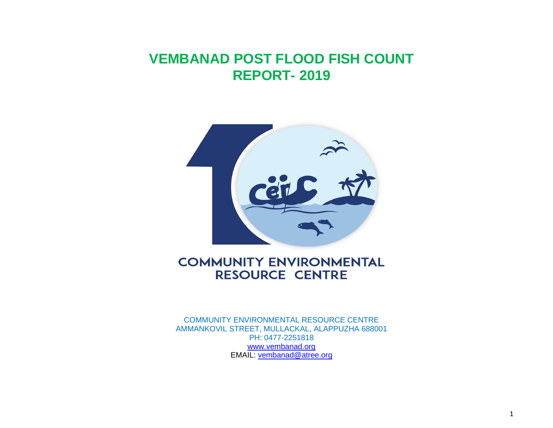# **VEMBANAD POST FLOOD FISH COUNT REPORT- 2019**



## **COMMUNITY ENVIRONMENTAL RESOURCE CENTRE**

**COMMUNITY ENVIRONMENTAL RESOURCE CENTRE AMMANKOVIL STREET, MULLACKAL, ALAPPUZHA 688001 PH: 0477-2251818 [www.vembanad.org](http://www.vembanad.org/) EMAIL: [vembanad@atree.org](mailto:vembanad@atree.org)**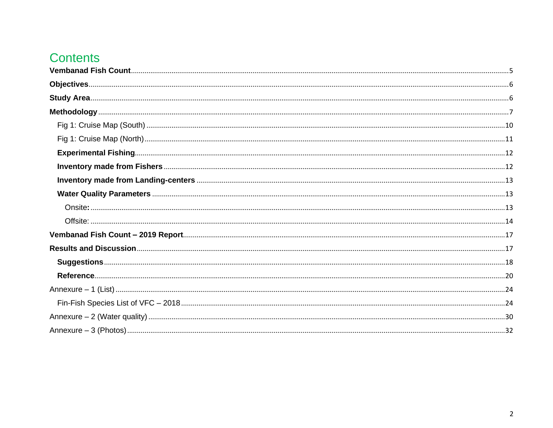# **Contents**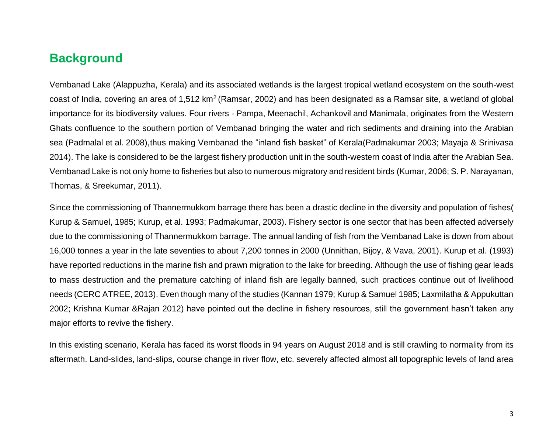### **Background**

**Vembanad Lake (Alappuzha, Kerala) and its associated wetlands is the largest tropical wetland ecosystem on the south-west coast of India, covering an area of 1,512 km<sup>2</sup>(Ramsar, 2002) and has been designated as a Ramsar site, a wetland of global importance for its biodiversity values. Four rivers - Pampa, Meenachil, Achankovil and Manimala, originates from the Western Ghats confluence to the southern portion of Vembanad bringing the water and rich sediments and draining into the Arabian sea (Padmalal et al. 2008),thus making Vembanad the "inland fish basket" of Kerala(Padmakumar 2003; Mayaja & Srinivasa 2014). The lake is considered to be the largest fishery production unit in the south-western coast of India after the Arabian Sea. Vembanad Lake is not only home to fisheries but also to numerous migratory and resident birds (Kumar, 2006; S. P. Narayanan, Thomas, & Sreekumar, 2011).** 

**Since the commissioning of Thannermukkom barrage there has been a drastic decline in the diversity and population of fishes( Kurup & Samuel, 1985; Kurup, et al. 1993; Padmakumar, 2003). Fishery sector is one sector that has been affected adversely due to the commissioning of Thannermukkom barrage. The annual landing of fish from the Vembanad Lake is down from about 16,000 tonnes a year in the late seventies to about 7,200 tonnes in 2000 (Unnithan, Bijoy, & Vava, 2001). Kurup et al. (1993) have reported reductions in the marine fish and prawn migration to the lake for breeding. Although the use of fishing gear leads to mass destruction and the premature catching of inland fish are legally banned, such practices continue out of livelihood needs (CERC ATREE, 2013). Even though many of the studies (Kannan 1979; Kurup & Samuel 1985; Laxmilatha & Appukuttan 2002; Krishna Kumar &Rajan 2012) have pointed out the decline in fishery resources, still the government hasn't taken any major efforts to revive the fishery.**

**In this existing scenario, Kerala has faced its worst floods in 94 years on August 2018 and is still crawling to normality from its aftermath. Land-slides, land-slips, course change in river flow, etc. severely affected almost all topographic levels of land area**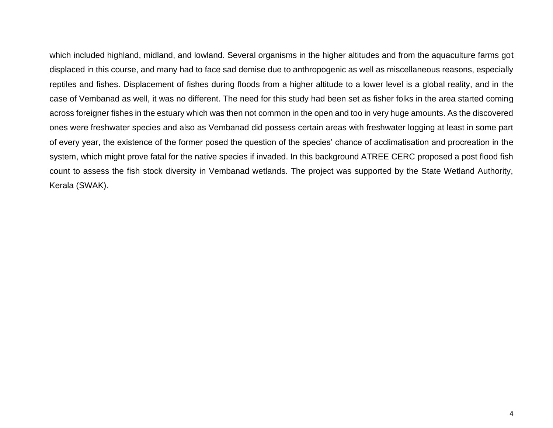**which included highland, midland, and lowland. Several organisms in the higher altitudes and from the aquaculture farms got displaced in this course, and many had to face sad demise due to anthropogenic as well as miscellaneous reasons, especially reptiles and fishes. Displacement of fishes during floods from a higher altitude to a lower level is a global reality, and in the case of Vembanad as well, it was no different. The need for this study had been set as fisher folks in the area started coming across foreigner fishes in the estuary which was then not common in the open and too in very huge amounts. As the discovered ones were freshwater species and also as Vembanad did possess certain areas with freshwater logging at least in some part of every year, the existence of the former posed the question of the species' chance of acclimatisation and procreation in the system, which might prove fatal for the native species if invaded. In this background ATREE CERC proposed a post flood fish count to assess the fish stock diversity in Vembanad wetlands. The project was supported by the State Wetland Authority, Kerala (SWAK).**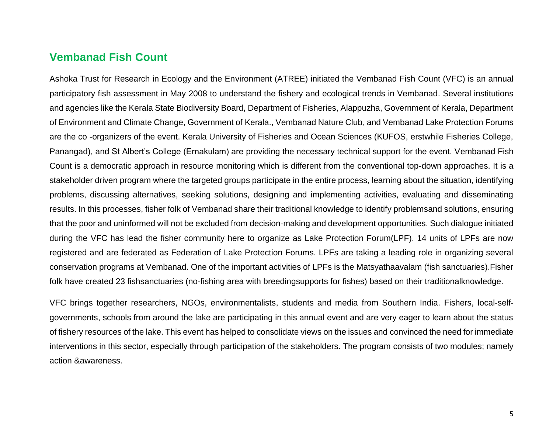### <span id="page-4-0"></span>**Vembanad Fish Count**

**Ashoka Trust for Research in Ecology and the Environment (ATREE) initiated the** *Vembanad Fish Count* **(VFC) is an annual participatory fish assessment in May 2008 to understand the fishery and ecological trends in Vembanad. Several institutions and agencies like the Kerala State Biodiversity Board, Department of Fisheries, Alappuzha, Government of Kerala, Department of Environment and Climate Change, Government of Kerala., Vembanad Nature Club, and Vembanad Lake Protection Forums are the co -organizers of the event. Kerala University of Fisheries and Ocean Sciences (KUFOS, erstwhile Fisheries College, Panangad), and St Albert's College (Ernakulam) are providing the necessary technical support for the event. Vembanad Fish Count is a democratic approach in resource monitoring which is different from the conventional top-down approaches. It is a stakeholder driven program where the targeted groups participate in the entire process, learning about the situation, identifying problems, discussing alternatives, seeking solutions, designing and implementing activities, evaluating and disseminating results. In this processes, fisher folk of Vembanad share their traditional knowledge to identify problemsand solutions, ensuring that the poor and uninformed will not be excluded from decision-making and development opportunities. Such dialogue initiated during the VFC has lead the fisher community here to organize as Lake Protection Forum(LPF). 14 units of LPFs are now registered and are federated as Federation of Lake Protection Forums. LPFs are taking a leading role in organizing several conservation programs at Vembanad. One of the important activities of LPFs is the Matsyathaavalam (fish sanctuaries).Fisher folk have created 23 fishsanctuaries (no-fishing area with breedingsupports for fishes) based on their traditionalknowledge.**

**VFC brings together researchers, NGOs, environmentalists, students and media from Southern India. Fishers, local-selfgovernments, schools from around the lake are participating in this annual event and are very eager to learn about the status of fishery resources of the lake. This event has helped to consolidate views on the issues and convinced the need for immediate interventions in this sector, especially through participation of the stakeholders. The program consists of two modules; namely action &awareness.**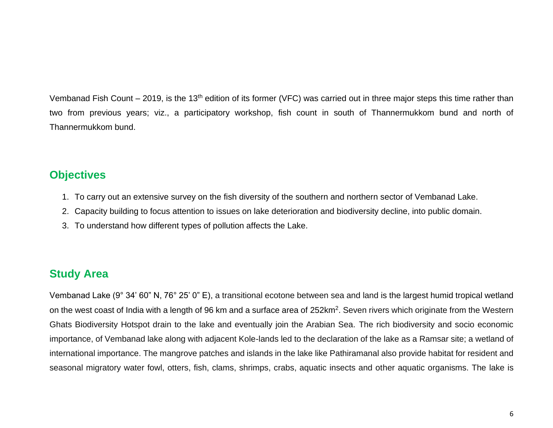**Vembanad Fish Count – 2019, is the 13th edition of its former (VFC) was carried out in three major steps this time rather than two from previous years; viz., a participatory workshop, fish count in south of Thannermukkom bund and north of Thannermukkom bund.**

### <span id="page-5-0"></span>**Objectives**

- **1. To carry out an extensive survey on the fish diversity of the southern and northern sector of Vembanad Lake.**
- **2. Capacity building to focus attention to issues on lake deterioration and biodiversity decline, into public domain.**
- **3. To understand how different types of pollution affects the Lake.**

## <span id="page-5-1"></span>**Study Area**

**Vembanad Lake (9° 34' 60" N, 76° 25' 0" E), a transitional ecotone between sea and land is the largest humid tropical wetland on the west coast of India with a length of 96 km and a surface area of 252km<sup>2</sup> . Seven rivers which originate from the Western Ghats Biodiversity Hotspot drain to the lake and eventually join the Arabian Sea. The rich biodiversity and socio economic importance, of Vembanad lake along with adjacent Kole-lands led to the declaration of the lake as a Ramsar site; a wetland of international importance. The mangrove patches and islands in the lake like** *Pathiramanal* **also provide habitat for resident and seasonal migratory water fowl, otters, fish, clams, shrimps, crabs, aquatic insects and other aquatic organisms. The lake is**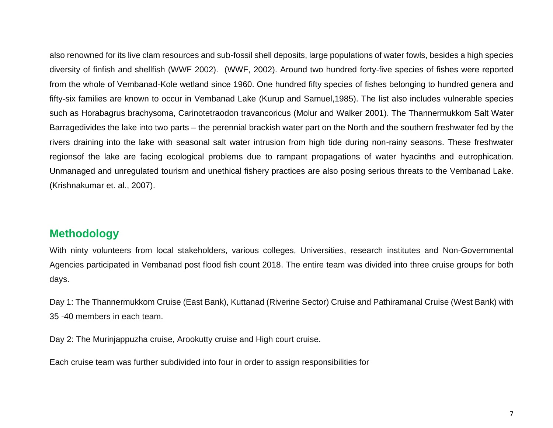**also renowned for its live clam resources and sub-fossil shell deposits, large populations of water fowls, besides a high species diversity of finfish and shellfish (WWF 2002). (WWF, 2002). Around two hundred forty-five species of fishes were reported from the whole of Vembanad-Kole wetland since 1960. One hundred fifty species of fishes belonging to hundred genera and fifty-six families are known to occur in Vembanad Lake (Kurup and Samuel,1985). The list also includes vulnerable species such as** *Horabagrus brachysoma, Carinotetraodon travancoricus* **(Molur and Walker 2001***).* **The Thannermukkom Salt Water Barragedivides the lake into two parts – the perennial brackish water part on the North and the southern freshwater fed by the rivers draining into the lake with seasonal salt water intrusion from high tide during non-rainy seasons. These freshwater regionsof the lake are facing ecological problems due to rampant propagations of water hyacinths and eutrophication. Unmanaged and unregulated tourism and unethical fishery practices are also posing serious threats to the Vembanad Lake. (Krishnakumar et. al., 2007).** 

### <span id="page-6-0"></span>**Methodology**

**With ninty volunteers from local stakeholders, various colleges, Universities, research institutes and Non-Governmental Agencies participated in Vembanad post flood fish count 2018. The entire team was divided into three cruise groups for both days.**

**Day 1: The Thannermukkom Cruise (East Bank), Kuttanad (Riverine Sector) Cruise and Pathiramanal Cruise (West Bank) with 35 -40 members in each team.**

**Day 2: The Murinjappuzha cruise, Arookutty cruise and High court cruise.** 

**Each cruise team was further subdivided into four in order to assign responsibilities for**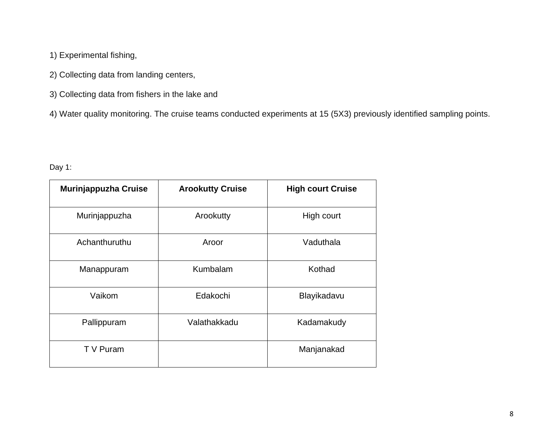- **1) Experimental fishing,**
- **2) Collecting data from landing centers,**
- **3) Collecting data from fishers in the lake and**
- **4) Water quality monitoring. The cruise teams conducted experiments at 15 (5X3) previously identified sampling points.**

**Day 1:**

| <b>Murinjappuzha Cruise</b> | <b>Arookutty Cruise</b> | <b>High court Cruise</b> |
|-----------------------------|-------------------------|--------------------------|
| Murinjappuzha               | <b>Arookutty</b>        | <b>High court</b>        |
| Achanthuruthu               | <b>Aroor</b>            | <b>Vaduthala</b>         |
| <b>Manappuram</b>           | <b>Kumbalam</b>         | <b>Kothad</b>            |
| Vaikom                      | <b>Edakochi</b>         | Blayikadavu              |
| Pallippuram                 | Valathakkadu            | Kadamakudy               |
| T V Puram                   |                         | Manjanakad               |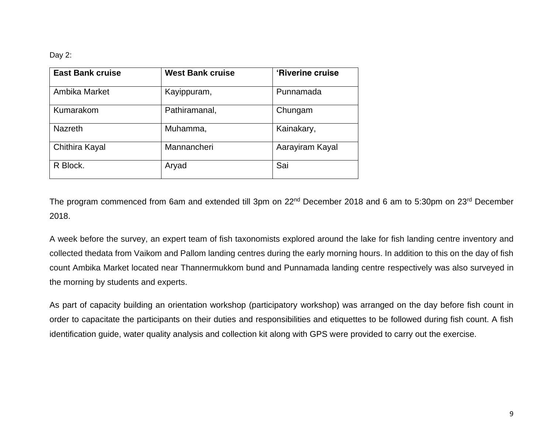#### **Day 2:**

| <b>East Bank cruise</b> | <b>West Bank cruise</b> | 'Riverine cruise |
|-------------------------|-------------------------|------------------|
| <b>Ambika Market</b>    | Kayippuram,             | Punnamada        |
| <b>Kumarakom</b>        | Pathiramanal,           | Chungam          |
| <b>Nazreth</b>          | Muhamma,                | Kainakary,       |
| <b>Chithira Kayal</b>   | <b>Mannancheri</b>      | Aarayiram Kayal  |
| R Block.                | Aryad                   | Sai              |

**The program commenced from 6am and extended till 3pm on 22nd December 2018 and 6 am to 5:30pm on 23rd December 2018.**

**A week before the survey, an expert team of fish taxonomists explored around the lake for fish landing centre inventory and collected thedata from Vaikom and Pallom landing centres during the early morning hours. In addition to this on the day of fish count Ambika Market located near Thannermukkom bund and Punnamada landing centre respectively was also surveyed in the morning by students and experts.**

**As part of capacity building an orientation workshop (participatory workshop) was arranged on the day before fish count in order to capacitate the participants on their duties and responsibilities and etiquettes to be followed during fish count. A fish identification guide, water quality analysis and collection kit along with GPS were provided to carry out the exercise.**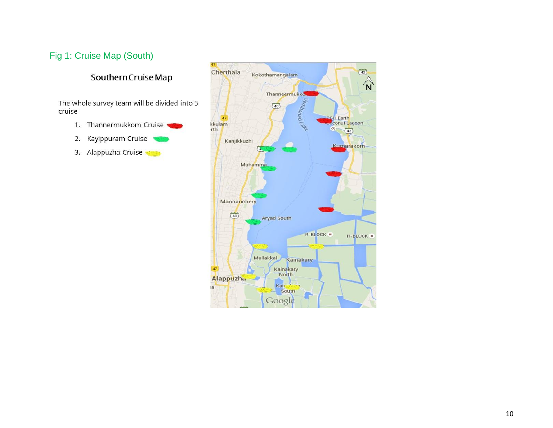### <span id="page-9-0"></span>**Fig 1: Cruise Map (South)**

#### Southern Cruise Map

The whole survey team will be divided into 3 cruise

- 1. Thannermukkom Cruise
- 2. Kayippuram Cruise
- 3. Alappuzha Cruise

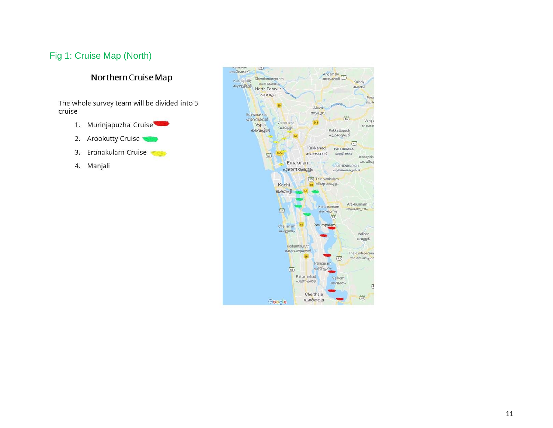### <span id="page-10-0"></span>**Fig 1: Cruise Map (North)**

#### Northern Cruise Map

The whole survey team will be divided into 3 cruise

- 1. Murinjapuzha Cruise
- 2. Arookutty Cruise
- Eranakulam Cruise 3.
- 4. Manjali

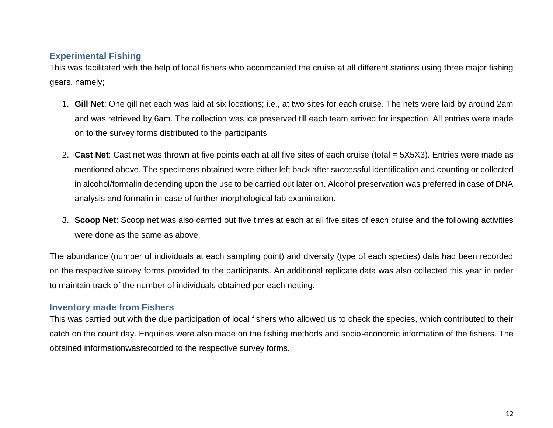#### <span id="page-11-0"></span>**Experimental Fishing**

**This was facilitated with the help of local fishers who accompanied the cruise at all different stations using three major fishing gears, namely;**

- **1. Gill Net: One gill net each was laid at six locations; i.e., at two sites for each cruise. The nets were laid by around 2am and was retrieved by 6am. The collection was ice preserved till each team arrived for inspection. All entries were made on to the survey forms distributed to the participants**
- **2. Cast Net: Cast net was thrown at five points each at all five sites of each cruise (total = 5X5X3). Entries were made as mentioned above. The specimens obtained were either left back after successful identification and counting or collected in alcohol/formalin depending upon the use to be carried out later on. Alcohol preservation was preferred in case of DNA analysis and formalin in case of further morphological lab examination.**
- **3. Scoop Net: Scoop net was also carried out five times at each at all five sites of each cruise and the following activities were done as the same as above.**

**The abundance (number of individuals at each sampling point) and diversity (type of each species) data had been recorded on the respective survey forms provided to the participants. An additional replicate data was also collected this year in order to maintain track of the number of individuals obtained per each netting.**

#### <span id="page-11-1"></span>**Inventory made from Fishers**

**This was carried out with the due participation of local fishers who allowed us to check the species, which contributed to their catch on the count day. Enquiries were also made on the fishing methods and socio-economic information of the fishers. The obtained informationwasrecorded to the respective survey forms.**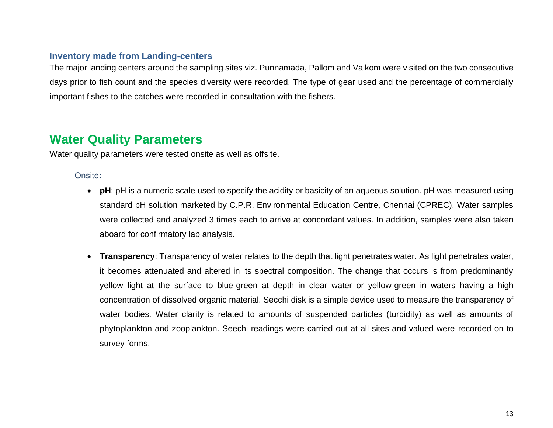#### <span id="page-12-0"></span>**Inventory made from Landing-centers**

**The major landing centers around the sampling sites viz. Punnamada, Pallom and Vaikom were visited on the two consecutive days prior to fish count and the species diversity were recorded. The type of gear used and the percentage of commercially important fishes to the catches were recorded in consultation with the fishers.**

## <span id="page-12-1"></span>**Water Quality Parameters**

**Water quality parameters were tested onsite as well as offsite.** 

#### <span id="page-12-2"></span>**Onsite***:*

- **pH: pH is a numeric scale used to specify the acidity or basicity of an aqueous solution. pH was measured using standard pH solution marketed by C.P.R. Environmental Education Centre, Chennai (CPREC). Water samples were collected and analyzed 3 times each to arrive at concordant values. In addition, samples were also taken aboard for confirmatory lab analysis.**
- **Transparency: Transparency of water relates to the depth that light penetrates water. As light penetrates water, it becomes attenuated and altered in its spectral composition. The change that occurs is from predominantly yellow light at the surface to blue-green at depth in clear water or yellow-green in waters having a high concentration of dissolved organic material. Secchi disk is a simple device used to measure the transparency of water bodies. Water clarity is related to amounts of suspended particles (turbidity) as well as amounts of phytoplankton and zooplankton. Seechi readings were carried out at all sites and valued were recorded on to survey forms.**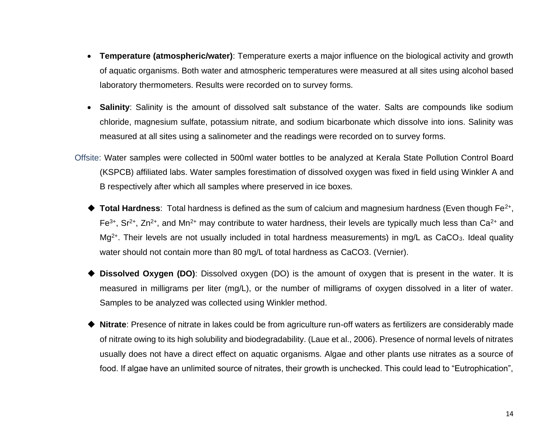- **Temperature (atmospheric/water): Temperature exerts a major influence on the biological activity and growth of aquatic organisms. Both water and atmospheric temperatures were measured at all sites using alcohol based laboratory thermometers. Results were recorded on to survey forms.**
- **Salinity: Salinity is the amount of dissolved salt substance of the water. Salts are compounds like sodium chloride, magnesium sulfate, potassium nitrate, and sodium bicarbonate which dissolve into ions. Salinity was measured at all sites using a salinometer and the readings were recorded on to survey forms.**
- <span id="page-13-0"></span>**Offsite: Water samples were collected in 500ml water bottles to be analyzed at Kerala State Pollution Control Board (KSPCB) affiliated labs. Water samples forestimation of dissolved oxygen was fixed in field using Winkler A and B respectively after which all samples where preserved in ice boxes.**
	- ◆ Total Hardness: Total hardness is defined as the sum of calcium and magnesium hardness (Even though Fe<sup>2+</sup>, **Fe3+, Sr2+, Zn2+, and Mn2+ may contribute to water hardness, their levels are typically much less than Ca2+ and Mg2+. Their levels are not usually included in total hardness measurements) in mg/L as CaCO3. Ideal quality water should not contain more than 80 mg/L of total hardness as CaCO3. (Vernier).**
	- ◆ Dissolved Oxygen (DO): Dissolved oxygen (DO) is the amount of oxygen that is present in the water. It is **measured in milligrams per liter (mg/L), or the number of milligrams of oxygen dissolved in a liter of water. Samples to be analyzed was collected using Winkler method.**
	- ◆ **Nitrate: Presence of nitrate in lakes could be from agriculture run-off waters as fertilizers are considerably made of nitrate owing to its high solubility and biodegradability. (Laue et al., 2006). Presence of normal levels of nitrates usually does not have a direct effect on aquatic organisms. Algae and other plants use nitrates as a source of food. If algae have an unlimited source of nitrates, their growth is unchecked. This could lead to "Eutrophication",**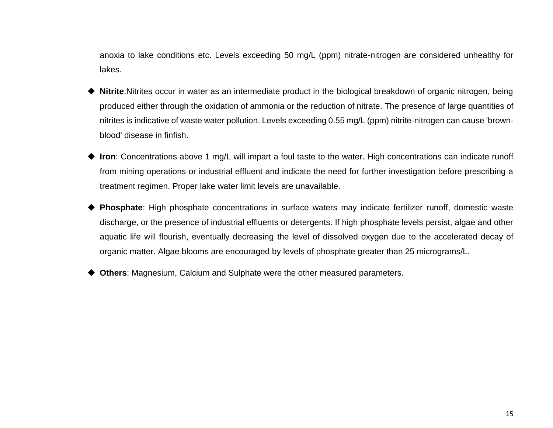**anoxia to lake conditions etc. Levels exceeding 50 mg/L (ppm) nitrate-nitrogen are considered unhealthy for lakes.**

- ◆ Nitrite:Nitrites occur in water as an intermediate product in the biological breakdown of organic nitrogen, being **produced either through the oxidation of ammonia or the reduction of nitrate. The presence of large quantities of nitrites is indicative of waste water pollution. Levels exceeding 0.55 mg/L (ppm) nitrite-nitrogen can cause 'brownblood' disease in finfish.**
- ◆ Iron: Concentrations above 1 mg/L will impart a foul taste to the water. High concentrations can indicate runoff **from mining operations or industrial effluent and indicate the need for further investigation before prescribing a treatment regimen. Proper lake water limit levels are unavailable.**
- ◆ **Phosphate: High phosphate concentrations in surface waters may indicate fertilizer runoff, domestic waste discharge, or the presence of industrial effluents or detergents. If high phosphate levels persist, algae and other aquatic life will flourish, eventually decreasing the level of dissolved oxygen due to the accelerated decay of organic matter. Algae blooms are encouraged by levels of phosphate greater than 25 micrograms/L.**
- ◆ Others: Magnesium, Calcium and Sulphate were the other measured parameters.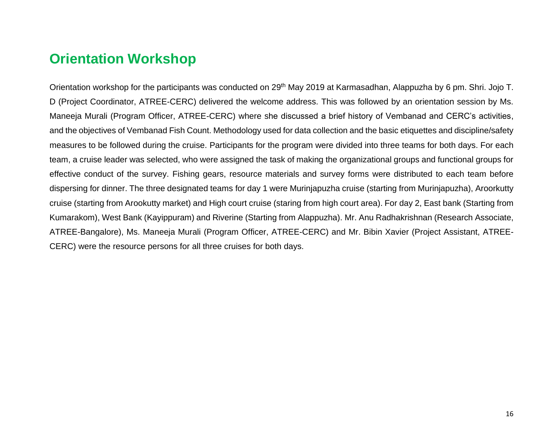# **Orientation Workshop**

**Orientation workshop for the participants was conducted on 29 th May 2019 at Karmasadhan, Alappuzha by 6 pm. Shri. Jojo T. D (Project Coordinator, ATREE-CERC) delivered the welcome address. This was followed by an orientation session by Ms. Maneeja Murali (Program Officer, ATREE-CERC) where she discussed a brief history of Vembanad and CERC's activities, and the objectives of Vembanad Fish Count. Methodology used for data collection and the basic etiquettes and discipline/safety measures to be followed during the cruise. Participants for the program were divided into three teams for both days. For each team, a cruise leader was selected, who were assigned the task of making the organizational groups and functional groups for effective conduct of the survey. Fishing gears, resource materials and survey forms were distributed to each team before dispersing for dinner. The three designated teams for day 1 were Murinjapuzha cruise (starting from Murinjapuzha), Aroorkutty cruise (starting from Arookutty market) and High court cruise (staring from high court area). For day 2, East bank (Starting from Kumarakom), West Bank (Kayippuram) and Riverine (Starting from Alappuzha). Mr. Anu Radhakrishnan (Research Associate, ATREE-Bangalore), Ms. Maneeja Murali (Program Officer, ATREE-CERC) and Mr. Bibin Xavier (Project Assistant, ATREE-CERC) were the resource persons for all three cruises for both days.**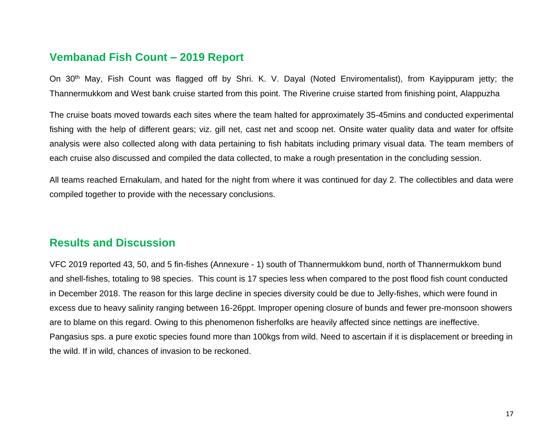### <span id="page-16-0"></span>**Vembanad Fish Count – 2019 Report**

**On 30th May, Fish Count was flagged off by Shri. K. V. Dayal (Noted Enviromentalist), from Kayippuram jetty; the Thannermukkom and West bank cruise started from this point. The Riverine cruise started from finishing point, Alappuzha** 

**The cruise boats moved towards each sites where the team halted for approximately 35-45mins and conducted experimental fishing with the help of different gears; viz. gill net, cast net and scoop net. Onsite water quality data and water for offsite analysis were also collected along with data pertaining to fish habitats including primary visual data. The team members of each cruise also discussed and compiled the data collected, to make a rough presentation in the concluding session.**

**All teams reached Ernakulam, and hated for the night from where it was continued for day 2. The collectibles and data were compiled together to provide with the necessary conclusions.**

### <span id="page-16-1"></span>**Results and Discussion**

**VFC 2019 reported 43, 50, and 5 fin-fishes (Annexure - 1) south of Thannermukkom bund, north of Thannermukkom bund and shell-fishes, totaling to 98 species. This count is 17 species less when compared to the post flood fish count conducted in December 2018. The reason for this large decline in species diversity could be due to Jelly-fishes, which were found in excess due to heavy salinity ranging between 16-26ppt. Improper opening closure of bunds and fewer pre-monsoon showers are to blame on this regard. Owing to this phenomenon fisherfolks are heavily affected since nettings are ineffective. Pangasius sps. a pure exotic species found more than 100kgs from wild. Need to ascertain if it is displacement or breeding in the wild. If in wild, chances of invasion to be reckoned.**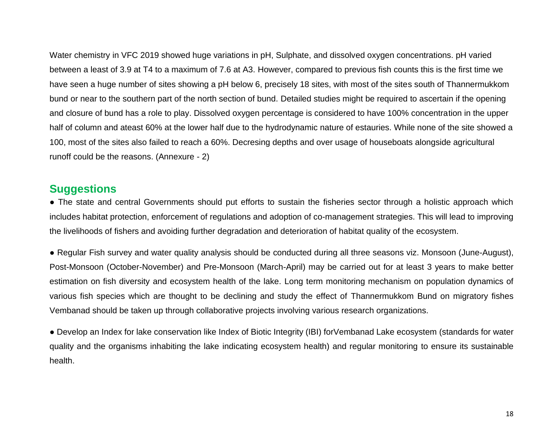**Water chemistry in VFC 2019 showed huge variations in pH, Sulphate, and dissolved oxygen concentrations. pH varied between a least of 3.9 at T4 to a maximum of 7.6 at A3. However, compared to previous fish counts this is the first time we have seen a huge number of sites showing a pH below 6, precisely 18 sites, with most of the sites south of Thannermukkom bund or near to the southern part of the north section of bund. Detailed studies might be required to ascertain if the opening and closure of bund has a role to play. Dissolved oxygen percentage is considered to have 100% concentration in the upper half of column and ateast 60% at the lower half due to the hydrodynamic nature of estauries. While none of the site showed a 100, most of the sites also failed to reach a 60%. Decresing depths and over usage of houseboats alongside agricultural runoff could be the reasons. (Annexure - 2)**

### <span id="page-17-0"></span>**Suggestions**

● **The state and central Governments should put efforts to sustain the fisheries sector through a holistic approach which includes habitat protection, enforcement of regulations and adoption of co-management strategies. This will lead to improving the livelihoods of fishers and avoiding further degradation and deterioration of habitat quality of the ecosystem.**

● **Regular Fish survey and water quality analysis should be conducted during all three seasons viz. Monsoon (June-August), Post-Monsoon (October-November) and Pre-Monsoon (March-April) may be carried out for at least 3 years to make better estimation on fish diversity and ecosystem health of the lake. Long term monitoring mechanism on population dynamics of various fish species which are thought to be declining and study the effect of Thannermukkom Bund on migratory fishes Vembanad should be taken up through collaborative projects involving various research organizations.**

● **Develop an Index for lake conservation like Index of Biotic Integrity (IBI) forVembanad Lake ecosystem (standards for water quality and the organisms inhabiting the lake indicating ecosystem health) and regular monitoring to ensure its sustainable health.**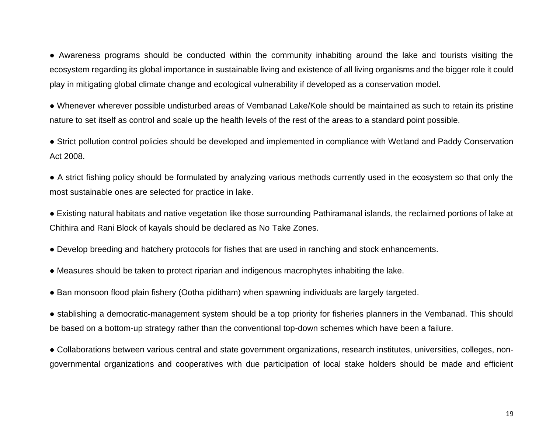● **Awareness programs should be conducted within the community inhabiting around the lake and tourists visiting the ecosystem regarding its global importance in sustainable living and existence of all living organisms and the bigger role it could play in mitigating global climate change and ecological vulnerability if developed as a conservation model.**

● **Whenever wherever possible undisturbed areas of Vembanad Lake/Kole should be maintained as such to retain its pristine nature to set itself as control and scale up the health levels of the rest of the areas to a standard point possible.**

● **Strict pollution control policies should be developed and implemented in compliance with Wetland and Paddy Conservation Act 2008.**

● **A strict fishing policy should be formulated by analyzing various methods currently used in the ecosystem so that only the most sustainable ones are selected for practice in lake.**

● **Existing natural habitats and native vegetation like those surrounding Pathiramanal islands, the reclaimed portions of lake at Chithira and Rani Block of kayals should be declared as No Take Zones.**

● **Develop breeding and hatchery protocols for fishes that are used in ranching and stock enhancements.**

● **Measures should be taken to protect riparian and indigenous macrophytes inhabiting the lake.**

● **Ban monsoon flood plain fishery (Ootha piditham) when spawning individuals are largely targeted.**

● **stablishing a democratic-management system should be a top priority for fisheries planners in the Vembanad. This should be based on a bottom-up strategy rather than the conventional top-down schemes which have been a failure.**

● **Collaborations between various central and state government organizations, research institutes, universities, colleges, nongovernmental organizations and cooperatives with due participation of local stake holders should be made and efficient**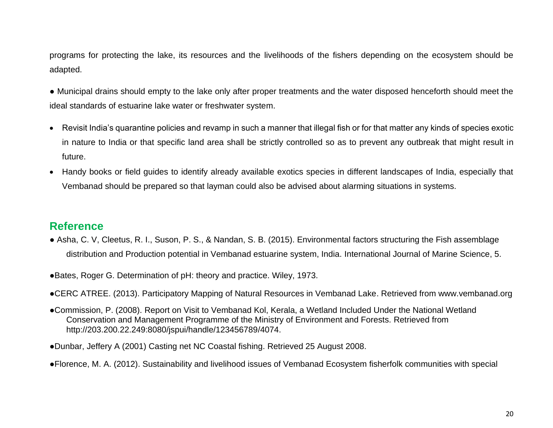**programs for protecting the lake, its resources and the livelihoods of the fishers depending on the ecosystem should be adapted.**

- **Municipal drains should empty to the lake only after proper treatments and the water disposed henceforth should meet the ideal standards of estuarine lake water or freshwater system.**
- **Revisit India's quarantine policies and revamp in such a manner that illegal fish or for that matter any kinds of species exotic in nature to India or that specific land area shall be strictly controlled so as to prevent any outbreak that might result in future.**
- **Handy books or field guides to identify already available exotics species in different landscapes of India, especially that Vembanad should be prepared so that layman could also be advised about alarming situations in systems.**

### <span id="page-19-0"></span>**Reference**

**● Asha, C. V, Cleetus, R. I., Suson, P. S., & Nandan, S. B. (2015). Environmental factors structuring the Fish assemblage distribution and Production potential in Vembanad estuarine system, India.** *International Journal of Marine Science***,** *5***.**

●**Bates, Roger G. Determination of pH: theory and practice. Wiley, 1973.**

●**CERC ATREE. (2013).** *Participatory Mapping of Natural Resources in Vembanad Lake***. Retrieved from www.vembanad.org**

●**Commission, P. (2008).** *Report on Visit to Vembanad Kol, Kerala, a Wetland Included Under the National Wetland Conservation and Management Programme of the Ministry of Environment and Forests.* **Retrieved from http://203.200.22.249:8080/jspui/handle/123456789/4074.**

●**Dunbar, Jeffery A (2001) Casting net NC Coastal fishing. Retrieved 25 August 2008.**

●**Florence, M. A. (2012). Sustainability and livelihood issues of Vembanad Ecosystem fisherfolk communities with special**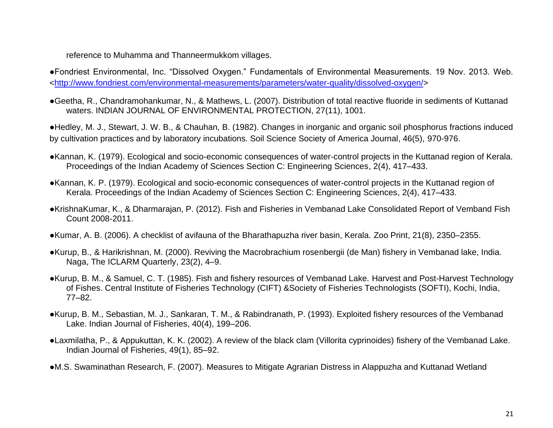#### **reference to Muhamma and Thanneermukkom villages.**

●**Fondriest Environmental, Inc. "Dissolved Oxygen." Fundamentals of Environmental Measurements. 19 Nov. 2013. Web. [<http://www.fondriest.com/environmental-measurements/parameters/water-quality/dissolved-oxygen/>](http://www.fondriest.com/environmental-measurements/parameters/water-quality/dissolved-oxygen/)**

●**Geetha, R., Chandramohankumar, N., & Mathews, L. (2007). Distribution of total reactive fluoride in sediments of Kuttanad waters.** *INDIAN JOURNAL OF ENVIRONMENTAL PROTECTION***,** *27***(11), 1001.**

●**Hedley, M. J., Stewart, J. W. B., & Chauhan, B. (1982). Changes in inorganic and organic soil phosphorus fractions induced by cultivation practices and by laboratory incubations. Soil Science Society of America Journal, 46(5), 970-976.**

- ●**Kannan, K. (1979). Ecological and socio-economic consequences of water-control projects in the Kuttanad region of Kerala.**  *Proceedings of the Indian Academy of Sciences Section C: Engineering Sciences***,** *2***(4), 417–433.**
- ●**Kannan, K. P. (1979). Ecological and socio-economic consequences of water-control projects in the Kuttanad region of Kerala.** *Proceedings of the Indian Academy of Sciences Section C: Engineering Sciences***,** *2***(4), 417–433.**
- ●**KrishnaKumar, K., & Dharmarajan, P. (2012).** *Fish and Fisheries in Vembanad Lake Consolidated Report of Vemband Fish Count 2008-2011***.**
- ●**Kumar, A. B. (2006). A checklist of avifauna of the Bharathapuzha river basin, Kerala.** *Zoo Print***,** *21***(8), 2350–2355.**
- ●**Kurup, B., & Harikrishnan, M. (2000). Reviving the Macrobrachium rosenbergii (de Man) fishery in Vembanad lake, India.**  *Naga, The ICLARM Quarterly***,** *23***(2), 4–9.**
- ●**Kurup, B. M., & Samuel, C. T. (1985). Fish and fishery resources of Vembanad Lake.** *Harvest and Post-Harvest Technology of Fishes. Central Institute of Fisheries Technology (CIFT) &Society of Fisheries Technologists (SOFTI), Kochi, India***, 77–82.**
- ●**Kurup, B. M., Sebastian, M. J., Sankaran, T. M., & Rabindranath, P. (1993). Exploited fishery resources of the Vembanad Lake.** *Indian Journal of Fisheries***,** *40***(4), 199–206.**
- ●**Laxmilatha, P., & Appukuttan, K. K. (2002). A review of the black clam (Villorita cyprinoides) fishery of the Vembanad Lake.**  *Indian Journal of Fisheries***,** *49***(1), 85–92.**
- ●**M.S. Swaminathan Research, F. (2007).** *Measures to Mitigate Agrarian Distress in Alappuzha and Kuttanad Wetland*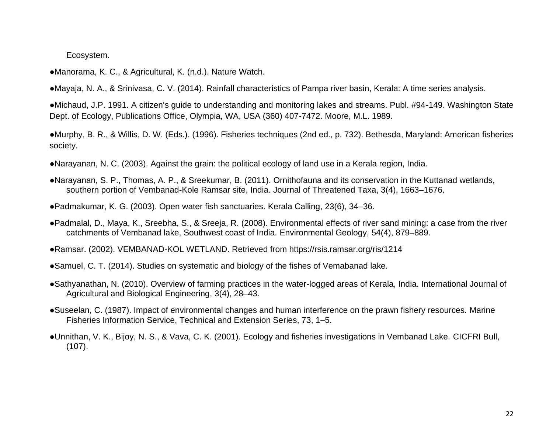#### *Ecosystem***.**

●**Manorama, K. C., & Agricultural, K. (n.d.). Nature Watch.**

●**Mayaja, N. A., & Srinivasa, C. V. (2014). Rainfall characteristics of Pampa river basin, Kerala: A time series analysis.**

●**Michaud, J.P. 1991. A citizen's guide to understanding and monitoring lakes and streams. Publ. #94-149. Washington State Dept. of Ecology, Publications Office, Olympia, WA, USA (360) 407-7472. Moore, M.L. 1989.**

●**Murphy, B. R., & Willis, D. W. (Eds.). (1996). Fisheries techniques (2nd ed., p. 732). Bethesda, Maryland: American fisheries society.**

●**Narayanan, N. C. (2003).** *Against the grain: the political ecology of land use in a Kerala region, India.*

●**Narayanan, S. P., Thomas, A. P., & Sreekumar, B. (2011). Ornithofauna and its conservation in the Kuttanad wetlands, southern portion of Vembanad-Kole Ramsar site, India.** *Journal of Threatened Taxa***,** *3***(4), 1663–1676.**

●**Padmakumar, K. G. (2003). Open water fish sanctuaries.** *Kerala Calling***,** *23***(6), 34–36.**

●**Padmalal, D., Maya, K., Sreebha, S., & Sreeja, R. (2008). Environmental effects of river sand mining: a case from the river catchments of Vembanad lake, Southwest coast of India.** *Environmental Geology***,** *54***(4), 879–889.**

●**Ramsar. (2002). VEMBANAD-KOL WETLAND. Retrieved from https://rsis.ramsar.org/ris/1214**

●**Samuel, C. T. (2014). Studies on systematic and biology of the fishes of Vemabanad lake.**

- ●**Sathyanathan, N. (2010). Overview of farming practices in the water-logged areas of Kerala, India.** *International Journal of Agricultural and Biological Engineering***,** *3***(4), 28–43.**
- ●**Suseelan, C. (1987). Impact of environmental changes and human interference on the prawn fishery resources.** *Marine Fisheries Information Service, Technical and Extension Series***,** *73***, 1–5.**

●**Unnithan, V. K., Bijoy, N. S., & Vava, C. K. (2001). Ecology and fisheries investigations in Vembanad Lake.** *CICFRI Bull***, (107).**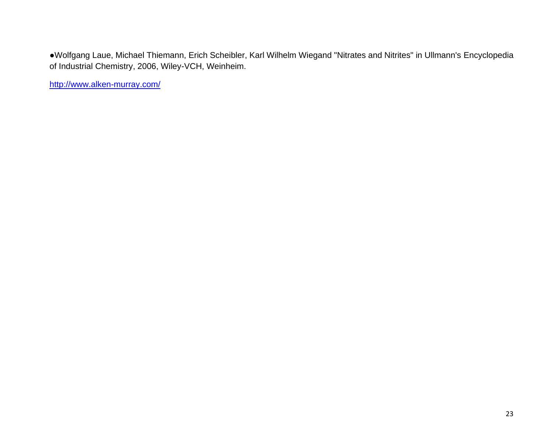●**Wolfgang Laue, Michael Thiemann, Erich Scheibler, Karl Wilhelm Wiegand "Nitrates and Nitrites" in Ullmann's Encyclopedia of Industrial Chemistry, 2006, Wiley-VCH, Weinheim.**

**<http://www.alken-murray.com/>**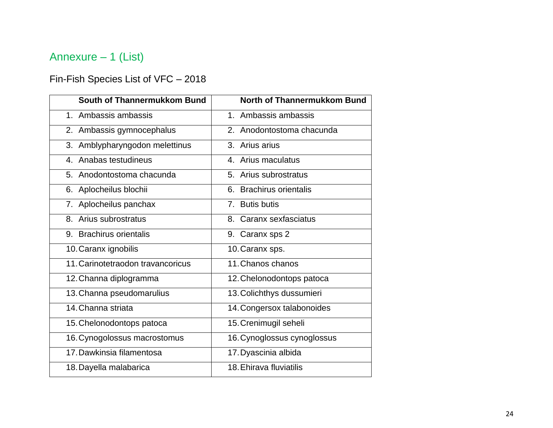# <span id="page-23-0"></span>**Annexure – 1 (List)**

## <span id="page-23-1"></span>**Fin-Fish Species List of VFC – 2018**

| South of Thannermukkom Bund       | North of Thannermukkom Bund |
|-----------------------------------|-----------------------------|
| 1. Ambassis ambassis              | 1. Ambassis ambassis        |
| 2. Ambassis gymnocephalus         | 2. Anodontostoma chacunda   |
| 3. Amblypharyngodon melettinus    | 3. Arius arius              |
| 4. Anabas testudineus             | 4. Arius maculatus          |
| 5. Anodontostoma chacunda         | 5. Arius subrostratus       |
| 6. Aplocheilus blochii            | 6. Brachirus orientalis     |
| 7. Aplocheilus panchax            | 7. Butis butis              |
| 8. Arius subrostratus             | 8. Caranx sexfasciatus      |
| 9. Brachirus orientalis           | 9. Caranx sps 2             |
| 10. Caranx ignobilis              | 10. Caranx sps.             |
| 11. Carinotetraodon travancoricus | 11. Chanos chanos           |
| 12. Channa diplogramma            | 12. Chelonodontops patoca   |
| 13. Channa pseudomarulius         | 13. Colichthys dussumieri   |
| 14. Channa striata                | 14. Congersox talabonoides  |
| 15. Chelonodontops patoca         | 15. Crenimugil seheli       |
| 16. Cynogolossus macrostomus      | 16. Cynoglossus cynoglossus |
| 17. Dawkinsia filamentosa         | 17. Dyascinia albida        |
| 18. Dayella malabarica            | 18. Ehirava fluviatilis     |
|                                   |                             |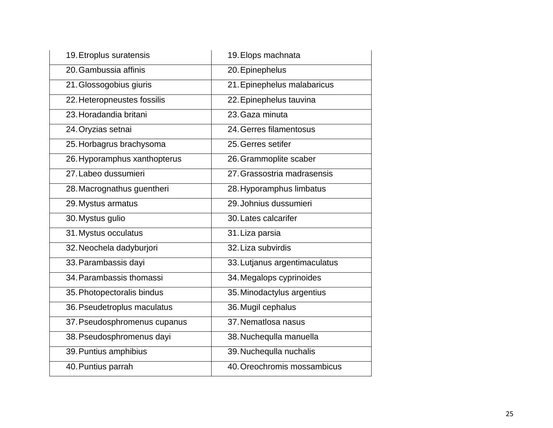| <b>19. Etroplus suratensis</b> | 19. Elops machnata            |
|--------------------------------|-------------------------------|
| 20. Gambussia affinis          | 20. Epinephelus               |
| 21. Glossogobius giuris        | 21. Epinephelus malabaricus   |
| 22. Heteropneustes fossilis    | 22. Epinephelus tauvina       |
| 23. Horadandia britani         | 23. Gaza minuta               |
| 24. Oryzias setnai             | 24. Gerres filamentosus       |
| 25. Horbagrus brachysoma       | 25. Gerres setifer            |
| 26. Hyporamphus xanthopterus   | 26. Grammoplite scaber        |
| 27. Labeo dussumieri           | 27. Grassostria madrasensis   |
| 28. Macrognathus guentheri     | 28. Hyporamphus limbatus      |
| 29. Mystus armatus             | 29. Johnius dussumieri        |
| 30. Mystus gulio               | 30. Lates calcarifer          |
| 31. Mystus occulatus           | 31. Liza parsia               |
| 32. Neochela dadyburjori       | 32. Liza subvirdis            |
| 33. Parambassis dayi           | 33. Lutjanus argentimaculatus |
| 34. Parambassis thomassi       | 34. Megalops cyprinoides      |
| 35. Photopectoralis bindus     | 35. Minodactylus argentius    |
| 36. Pseudetroplus maculatus    | 36. Mugil cephalus            |
| 37. Pseudosphromenus cupanus   | 37. Nematlosa nasus           |
| 38. Pseudosphromenus dayi      | 38. Nuchequila manuella       |
| 39. Puntius amphibius          | 39. Nuchequila nuchalis       |
| 40. Puntius parrah             | 40. Oreochromis mossambicus   |
|                                |                               |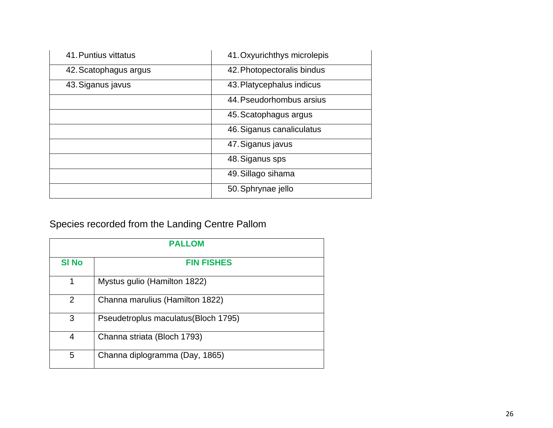| 41. Puntius vittatus  | 41. Oxyurichthys microlepis |
|-----------------------|-----------------------------|
| 42. Scatophagus argus | 42. Photopectoralis bindus  |
| 43. Siganus javus     | 43. Platycephalus indicus   |
|                       | 44. Pseudorhombus arsius    |
|                       | 45. Scatophagus argus       |
|                       | 46. Siganus canaliculatus   |
|                       | 47. Siganus javus           |
|                       | 48. Siganus sps             |
|                       | 49. Sillago sihama          |
|                       | 50. Sphrynae jello          |

# **Species recorded from the Landing Centre Pallom**

| <b>PALLOM</b> |                                             |  |  |  |  |  |  |
|---------------|---------------------------------------------|--|--|--|--|--|--|
| <b>SI No</b>  | <b>FIN FISHES</b>                           |  |  |  |  |  |  |
| 1             | <b>Mystus gulio (Hamilton 1822)</b>         |  |  |  |  |  |  |
| $\mathbf 2$   | Channa marulius (Hamilton 1822)             |  |  |  |  |  |  |
| 3             | <b>Pseudetroplus maculatus (Bloch 1795)</b> |  |  |  |  |  |  |
| 4             | Channa striata (Bloch 1793)                 |  |  |  |  |  |  |
| 5             | Channa diplogramma (Day, 1865)              |  |  |  |  |  |  |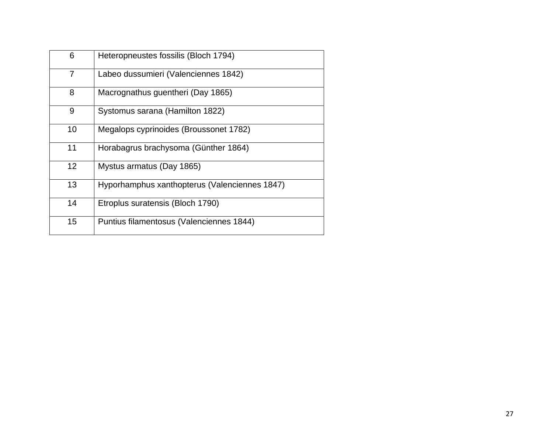| 6              | Heteropneustes fossilis (Bloch 1794)            |
|----------------|-------------------------------------------------|
| $\overline{7}$ | Labeo dussumieri (Valenciennes 1842)            |
| 8              | Macrognathus guentheri (Day 1865)               |
| 9              | <b>Systomus sarana (Hamilton 1822)</b>          |
| 10             | <b>Megalops cyprinoides (Broussonet 1782)</b>   |
| 11             | Horabagrus brachysoma (Günther 1864)            |
| 12             | <b>Mystus armatus (Day 1865)</b>                |
| 13             | Hyporhamphus xanthopterus (Valenciennes 1847)   |
| 14             | Etroplus suratensis (Bloch 1790)                |
| 15             | <b>Puntius filamentosus (Valenciennes 1844)</b> |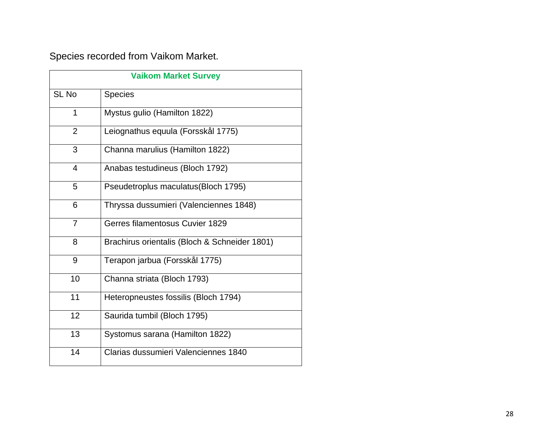## **Species recorded from Vaikom Market.**

| <b>Vaikom Market Survey</b> |                                               |  |  |  |  |  |
|-----------------------------|-----------------------------------------------|--|--|--|--|--|
| <b>SL No</b>                | <b>Species</b>                                |  |  |  |  |  |
| 1                           | <b>Mystus gulio (Hamilton 1822)</b>           |  |  |  |  |  |
| $\overline{2}$              | Leiognathus equula (Forsskål 1775)            |  |  |  |  |  |
| 3                           | Channa marulius (Hamilton 1822)               |  |  |  |  |  |
| 4                           | Anabas testudineus (Bloch 1792)               |  |  |  |  |  |
| 5                           | <b>Pseudetroplus maculatus (Bloch 1795)</b>   |  |  |  |  |  |
| 6                           | Thryssa dussumieri (Valenciennes 1848)        |  |  |  |  |  |
| $\overline{7}$              | <b>Gerres filamentosus Cuvier 1829</b>        |  |  |  |  |  |
| 8                           | Brachirus orientalis (Bloch & Schneider 1801) |  |  |  |  |  |
| 9                           | Terapon jarbua (Forsskål 1775)                |  |  |  |  |  |
| 10                          | Channa striata (Bloch 1793)                   |  |  |  |  |  |
| 11                          | Heteropneustes fossilis (Bloch 1794)          |  |  |  |  |  |
| 12                          | Saurida tumbil (Bloch 1795)                   |  |  |  |  |  |
| 13                          | Systomus sarana (Hamilton 1822)               |  |  |  |  |  |
| 14                          | <b>Clarias dussumieri Valenciennes 1840</b>   |  |  |  |  |  |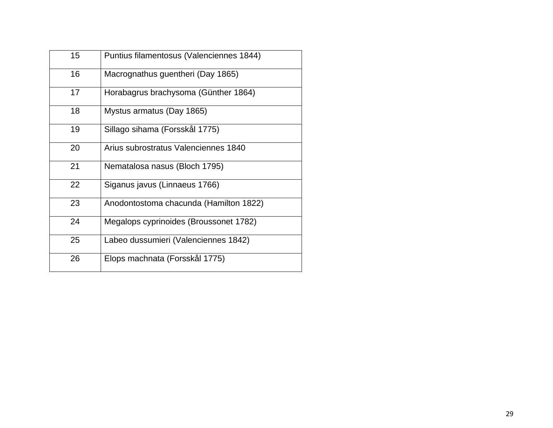| 15 | <b>Puntius filamentosus (Valenciennes 1844)</b> |
|----|-------------------------------------------------|
| 16 | Macrognathus guentheri (Day 1865)               |
| 17 | Horabagrus brachysoma (Günther 1864)            |
| 18 | Mystus armatus (Day 1865)                       |
| 19 | Sillago sihama (Forsskål 1775)                  |
| 20 | Arius subrostratus Valenciennes 1840            |
| 21 | Nematalosa nasus (Bloch 1795)                   |
| 22 | Siganus javus (Linnaeus 1766)                   |
| 23 | Anodontostoma chacunda (Hamilton 1822)          |
| 24 | <b>Megalops cyprinoides (Broussonet 1782)</b>   |
| 25 | Labeo dussumieri (Valenciennes 1842)            |
| 26 | Elops machnata (Forsskål 1775)                  |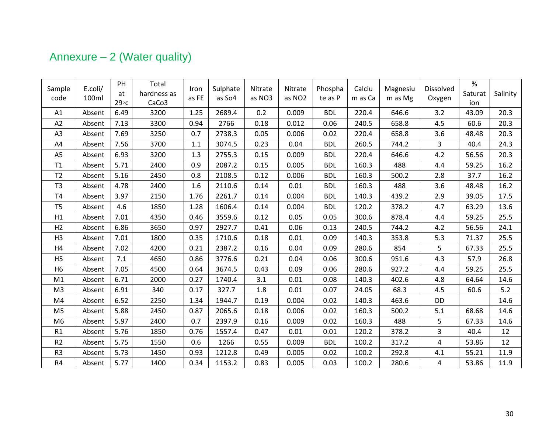# <span id="page-29-0"></span>**Annexure – 2 (Water quality)**

| Sample<br>code | E.coli/<br>100ml | PH<br>at<br>$29^{\circ}c$ | Total<br>hardness as<br>CaCo <sub>3</sub> | Iron<br>as FE | Sulphate<br>as So4 | Nitrate<br>as NO3 | Nitrate<br>as NO <sub>2</sub> | Phospha<br>te as P | Calciu<br>m as Ca | Magnesiu<br>m as Mg | <b>Dissolved</b><br>Oxygen | $\%$<br>Saturat<br>ion | Salinity |
|----------------|------------------|---------------------------|-------------------------------------------|---------------|--------------------|-------------------|-------------------------------|--------------------|-------------------|---------------------|----------------------------|------------------------|----------|
| A1             | Absent           | 6.49                      | 3200                                      | 1.25          | 2689.4             | 0.2               | 0.009                         | <b>BDL</b>         | 220.4             | 646.6               | 3.2                        | 43.09                  | 20.3     |
| A2             | Absent           | 7.13                      | 3300                                      | 0.94          | 2766               | 0.18              | 0.012                         | 0.06               | 240.5             | 658.8               | 4.5                        | 60.6                   | 20.3     |
| A3             | Absent           | 7.69                      | 3250                                      | 0.7           | 2738.3             | 0.05              | 0.006                         | 0.02               | 220.4             | 658.8               | 3.6                        | 48.48                  | 20.3     |
| A4             | Absent           | 7.56                      | 3700                                      | 1.1           | 3074.5             | 0.23              | 0.04                          | <b>BDL</b>         | 260.5             | 744.2               | 3                          | 40.4                   | 24.3     |
| A <sub>5</sub> | Absent           | 6.93                      | 3200                                      | 1.3           | 2755.3             | 0.15              | 0.009                         | <b>BDL</b>         | 220.4             | 646.6               | 4.2                        | 56.56                  | 20.3     |
| T1             | Absent           | 5.71                      | 2400                                      | 0.9           | 2087.2             | 0.15              | 0.005                         | <b>BDL</b>         | 160.3             | 488                 | 4.4                        | 59.25                  | 16.2     |
| T <sub>2</sub> | Absent           | 5.16                      | 2450                                      | 0.8           | 2108.5             | 0.12              | 0.006                         | <b>BDL</b>         | 160.3             | 500.2               | 2.8                        | 37.7                   | 16.2     |
| T <sub>3</sub> | Absent           | 4.78                      | 2400                                      | 1.6           | 2110.6             | 0.14              | 0.01                          | <b>BDL</b>         | 160.3             | 488                 | 3.6                        | 48.48                  | 16.2     |
| <b>T4</b>      | Absent           | 3.97                      | 2150                                      | 1.76          | 2261.7             | 0.14              | 0.004                         | <b>BDL</b>         | 140.3             | 439.2               | 2.9                        | 39.05                  | 17.5     |
| T <sub>5</sub> | Absent           | 4.6                       | 1850                                      | 1.28          | 1606.4             | 0.14              | 0.004                         | <b>BDL</b>         | 120.2             | 378.2               | 4.7                        | 63.29                  | 13.6     |
| H1             | Absent           | 7.01                      | 4350                                      | 0.46          | 3559.6             | 0.12              | 0.05                          | 0.05               | 300.6             | 878.4               | 4.4                        | 59.25                  | 25.5     |
| H <sub>2</sub> | Absent           | 6.86                      | 3650                                      | 0.97          | 2927.7             | 0.41              | 0.06                          | 0.13               | 240.5             | 744.2               | 4.2                        | 56.56                  | 24.1     |
| H <sub>3</sub> | Absent           | 7.01                      | 1800                                      | 0.35          | 1710.6             | 0.18              | 0.01                          | 0.09               | 140.3             | 353.8               | 5.3                        | 71.37                  | 25.5     |
| H4             | Absent           | 7.02                      | 4200                                      | 0.21          | 2387.2             | 0.16              | 0.04                          | 0.09               | 280.6             | 854                 | 5                          | 67.33                  | 25.5     |
| H <sub>5</sub> | Absent           | 7.1                       | 4650                                      | 0.86          | 3776.6             | 0.21              | 0.04                          | 0.06               | 300.6             | 951.6               | 4.3                        | 57.9                   | 26.8     |
| H <sub>6</sub> | Absent           | 7.05                      | 4500                                      | 0.64          | 3674.5             | 0.43              | 0.09                          | 0.06               | 280.6             | 927.2               | 4.4                        | 59.25                  | 25.5     |
| M1             | Absent           | 6.71                      | 2000                                      | 0.27          | 1740.4             | 3.1               | 0.01                          | 0.08               | 140.3             | 402.6               | 4.8                        | 64.64                  | 14.6     |
| M <sub>3</sub> | Absent           | 6.91                      | 340                                       | 0.17          | 327.7              | 1.8               | 0.01                          | 0.07               | 24.05             | 68.3                | 4.5                        | 60.6                   | 5.2      |
| M4             | Absent           | 6.52                      | 2250                                      | 1.34          | 1944.7             | 0.19              | 0.004                         | 0.02               | 140.3             | 463.6               | DD                         |                        | 14.6     |
| M <sub>5</sub> | Absent           | 5.88                      | 2450                                      | 0.87          | 2065.6             | 0.18              | 0.006                         | 0.02               | 160.3             | 500.2               | 5.1                        | 68.68                  | 14.6     |
| M <sub>6</sub> | Absent           | 5.97                      | 2400                                      | 0.7           | 2397.9             | 0.16              | 0.009                         | 0.02               | 160.3             | 488                 | 5                          | 67.33                  | 14.6     |
| R1             | Absent           | 5.76                      | 1850                                      | 0.76          | 1557.4             | 0.47              | 0.01                          | 0.01               | 120.2             | 378.2               | 3                          | 40.4                   | 12       |
| R <sub>2</sub> | Absent           | 5.75                      | 1550                                      | 0.6           | 1266               | 0.55              | 0.009                         | <b>BDL</b>         | 100.2             | 317.2               | 4                          | 53.86                  | 12       |
| R <sub>3</sub> | Absent           | 5.73                      | 1450                                      | 0.93          | 1212.8             | 0.49              | 0.005                         | 0.02               | 100.2             | 292.8               | 4.1                        | 55.21                  | 11.9     |
| R4             | Absent           | 5.77                      | 1400                                      | 0.34          | 1153.2             | 0.83              | 0.005                         | 0.03               | 100.2             | 280.6               | 4                          | 53.86                  | 11.9     |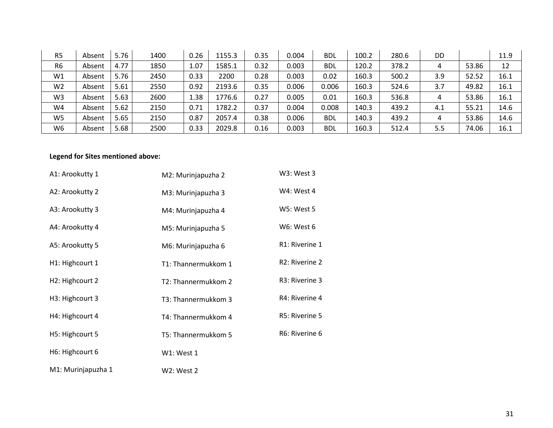| R <sub>5</sub> | Absent | 5.76 | 1400 | 0.26 | 1155.3 | 0.35 | 0.004 | <b>BDL</b> | 100.2 | 280.6 | DD  |       | 11.9 |
|----------------|--------|------|------|------|--------|------|-------|------------|-------|-------|-----|-------|------|
| R <sub>6</sub> | Absent | 4.77 | 1850 | 1.07 | 1585.1 | 0.32 | 0.003 | <b>BDL</b> | 120.2 | 378.2 | 4   | 53.86 | 12   |
| W1             | Absent | 5.76 | 2450 | 0.33 | 2200   | 0.28 | 0.003 | 0.02       | 160.3 | 500.2 | 3.9 | 52.52 | 16.1 |
| W <sub>2</sub> | Absent | 5.61 | 2550 | 0.92 | 2193.6 | 0.35 | 0.006 | 0.006      | 160.3 | 524.6 | 3.7 | 49.82 | 16.1 |
| W <sub>3</sub> | Absent | 5.63 | 2600 | 1.38 | 1776.6 | 0.27 | 0.005 | 0.01       | 160.3 | 536.8 | 4   | 53.86 | 16.1 |
| W4             | Absent | 5.62 | 2150 | 0.71 | 1782.2 | 0.37 | 0.004 | 0.008      | 140.3 | 439.2 | 4.1 | 55.21 | 14.6 |
| W <sub>5</sub> | Absent | 5.65 | 2150 | 0.87 | 2057.4 | 0.38 | 0.006 | <b>BDL</b> | 140.3 | 439.2 | 4   | 53.86 | 14.6 |
| W <sub>6</sub> | Absent | 5.68 | 2500 | 0.33 | 2029.8 | 0.16 | 0.003 | <b>BDL</b> | 160.3 | 512.4 | 5.5 | 74.06 | 16.1 |

#### **Legend for Sites mentioned above:**

| A1: Arookutty 1              | M2: Murinjapuzha 2  | W3: West 3                  |
|------------------------------|---------------------|-----------------------------|
| A2: Arookutty 2              | M3: Murinjapuzha 3  | W4: West 4                  |
| A3: Arookutty 3              | M4: Murinjapuzha 4  | <b>W5: West 5</b>           |
| A4: Arookutty 4              | M5: Murinjapuzha 5  | W6: West 6                  |
| A5: Arookutty 5              | M6: Murinjapuzha 6  | R1: Riverine 1              |
| H <sub>1</sub> : Highcourt 1 | T1: Thannermukkom 1 | R <sub>2</sub> : Riverine 2 |
| H <sub>2</sub> : Highcourt 2 | T2: Thannermukkom 2 | R3: Riverine 3              |
| H <sub>3</sub> : Highcourt 3 | T3: Thannermukkom 3 | R4: Riverine 4              |
| H4: Highcourt 4              | T4: Thannermukkom 4 | R5: Riverine 5              |
| H5: Highcourt 5              | T5: Thannermukkom 5 | R6: Riverine 6              |
| H6: Highcourt 6              | W1: West 1          |                             |
| M1: Murinjapuzha 1           | <b>W2: West 2</b>   |                             |